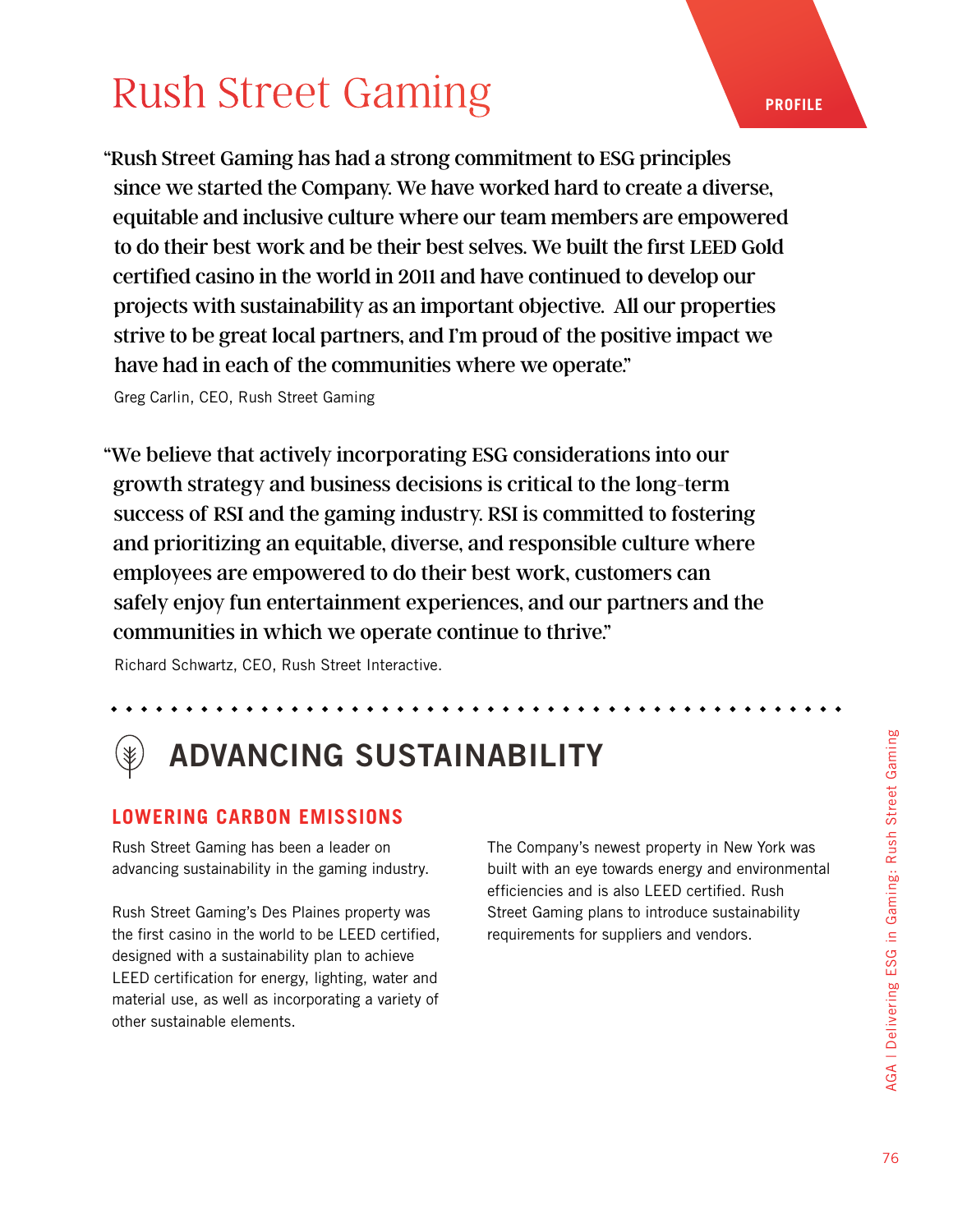## [Rush Street Gaming](https://rushstreetgaming.com/our-culture/)

"Rush Street Gaming has had a strong commitment to ESG principles since we started the Company. We have worked hard to create a diverse, equitable and inclusive culture where our team members are empowered to do their best work and be their best selves. We built the first LEED Gold certified casino in the world in 2011 and have continued to develop our projects with sustainability as an important objective. All our properties strive to be great local partners, and I'm proud of the positive impact we have had in each of the communities where we operate."

Greg Carlin, CEO, Rush Street Gaming

"We believe that actively incorporating ESG considerations into our growth strategy and business decisions is critical to the long-term success of RSI and the gaming industry. RSI is committed to fostering and prioritizing an equitable, diverse, and responsible culture where employees are empowered to do their best work, customers can safely enjoy fun entertainment experiences, and our partners and the communities in which we operate continue to thrive."

Richard Schwartz, CEO, Rush Street Interactive.

# ADVANCING SUSTAINABILITY

#### **LOWERING CARBON EMISSIONS**

Rush Street Gaming has been a leader on advancing sustainability in the gaming industry.

Rush Street Gaming's Des Plaines property was the first casino in the world to be LEED certified, designed with a sustainability plan to achieve LEED certification for energy, lighting, water and material use, as well as incorporating a variety of other sustainable elements.

The Company's newest property in New York was built with an eye towards energy and environmental efficiencies and is also LEED certified. Rush Street Gaming plans to introduce sustainability requirements for suppliers and vendors.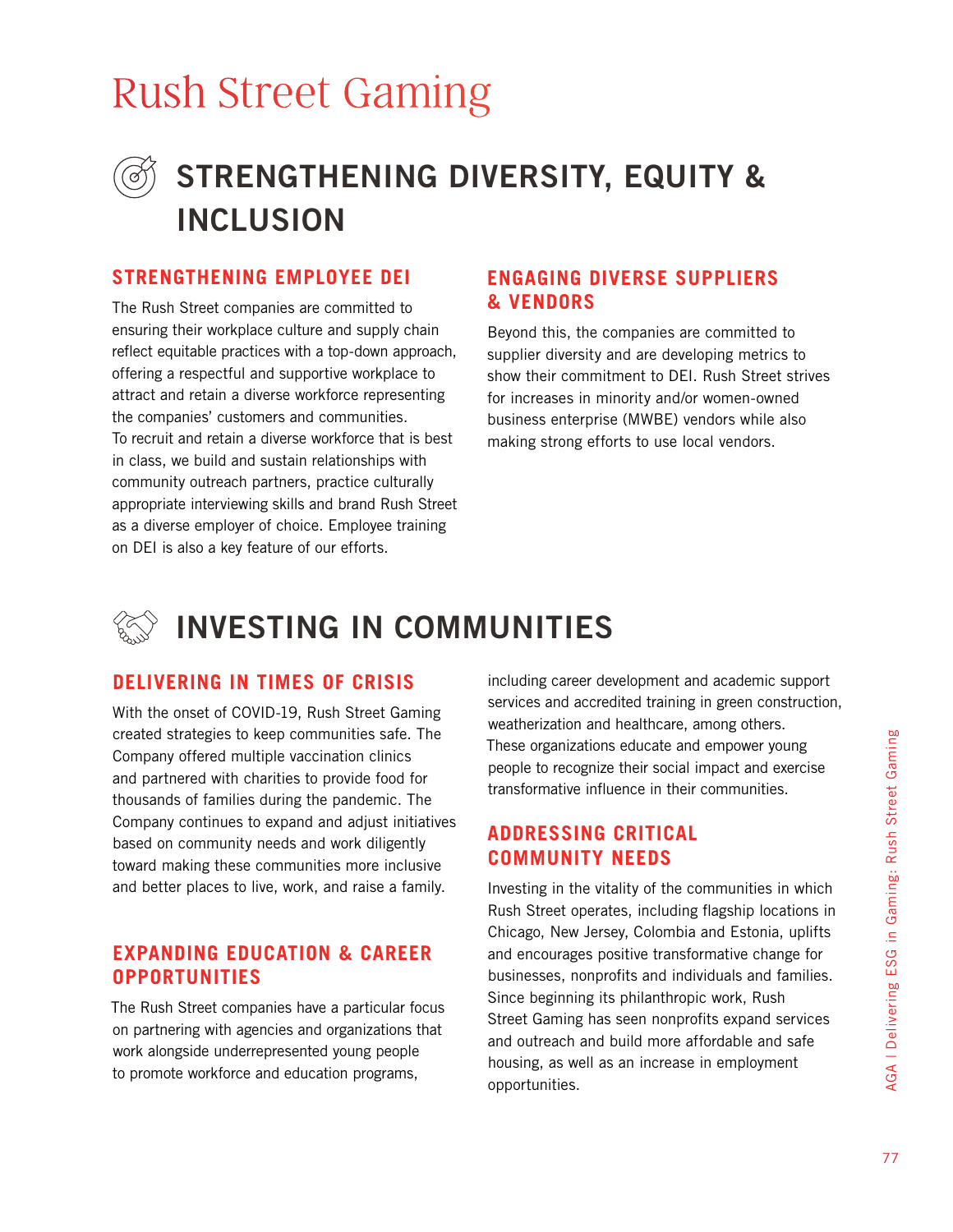## [Rush Street Gaming](https://rushstreetgaming.com/our-culture/)

### STRENGTHENING DIVERSITY, EQUITY & INCLUSION

#### **STRENGTHENING EMPLOYEE DEI**

The Rush Street companies are committed to ensuring their workplace culture and supply chain reflect equitable practices with a top-down approach, offering a respectful and supportive workplace to attract and retain a diverse workforce representing the companies' customers and communities. To recruit and retain a diverse workforce that is best in class, we build and sustain relationships with community outreach partners, practice culturally appropriate interviewing skills and brand Rush Street as a diverse employer of choice. Employee training on DEI is also a key feature of our efforts.

#### **ENGAGING DIVERSE SUPPLIERS & VENDORS**

Beyond this, the companies are committed to supplier diversity and are developing metrics to show their commitment to DEI. Rush Street strives for increases in minority and/or women-owned business enterprise (MWBE) vendors while also making strong efforts to use local vendors.

### INVESTING IN COMMUNITIES

#### **DELIVERING IN TIMES OF CRISIS**

With the onset of COVID-19, Rush Street Gaming created strategies to keep communities safe. The Company offered multiple vaccination clinics and partnered with charities to provide food for thousands of families during the pandemic. The Company continues to expand and adjust initiatives based on community needs and work diligently toward making these communities more inclusive and better places to live, work, and raise a family.

#### **EXPANDING EDUCATION & CAREER OPPORTUNITIES**

The Rush Street companies have a particular focus on partnering with agencies and organizations that work alongside underrepresented young people to promote workforce and education programs,

including career development and academic support services and accredited training in green construction, weatherization and healthcare, among others. These organizations educate and empower young people to recognize their social impact and exercise transformative influence in their communities.

#### **ADDRESSING CRITICAL COMMUNITY NEEDS**

Investing in the vitality of the communities in which Rush Street operates, including flagship locations in Chicago, New Jersey, Colombia and Estonia, uplifts and encourages positive transformative change for businesses, nonprofits and individuals and families. Since beginning its philanthropic work, Rush Street Gaming has seen nonprofits expand services and outreach and build more affordable and safe housing, as well as an increase in employment opportunities.